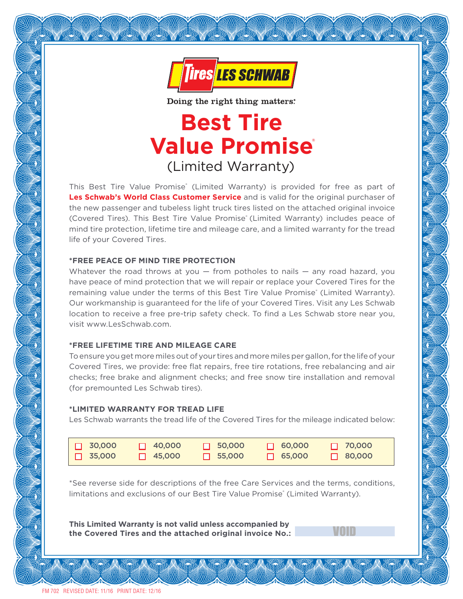

Doing the right thing matters.

# **Best Tire Value Promise** ® (Limited Warranty)

This Best Tire Value Promise<sup>®</sup> (Limited Warranty) is provided for free as part of **Les Schwab's World Class Customer Service** and is valid for the original purchaser of the new passenger and tubeless light truck tires listed on the attached original invoice (Covered Tires). This Best Tire Value Promise<sup>®</sup> (Limited Warranty) includes peace of mind tire protection, lifetime tire and mileage care, and a limited warranty for the tread life of your Covered Tires.

## **\*FREE PEACE OF MIND TIRE PROTECTION**

Whatever the road throws at you  $-$  from potholes to nails  $-$  any road hazard, you have peace of mind protection that we will repair or replace your Covered Tires for the remaining value under the terms of this Best Tire Value Promise' (Limited Warranty). Our workmanship is guaranteed for the life of your Covered Tires. Visit any Les Schwab location to receive a free pre-trip safety check. To find a Les Schwab store near you, visit www.LesSchwab.com.

#### **\*FREE LIFETIME TIRE AND MILEAGE CARE**

To ensure you get more miles out of your tires and more miles per gallon, for the life of your Covered Tires, we provide: free flat repairs, free tire rotations, free rebalancing and air checks; free brake and alignment checks; and free snow tire installation and removal (for premounted Les Schwab tires).

#### **\*LIMITED WARRANTY FOR TREAD LIFE**

Les Schwab warrants the tread life of the Covered Tires for the mileage indicated below:

| $\Box$ 30,000 | $\Box$ 40,000 | $\Box$ 50,000 | $\Box$ 60,000 | $\Box$ 70,000 |
|---------------|---------------|---------------|---------------|---------------|
| $\Box$ 35,000 | $\Box$ 45,000 | $\Box$ 55,000 | $\Box$ 65,000 | $\Box$ 80,000 |

\*See reverse side for descriptions of the free Care Services and the terms, conditions, limitations and exclusions of our Best Tire Value Promise® (Limited Warranty).

**This Limited Warranty is not valid unless accompanied by** the Covered Tires and the attached original invoice No.: